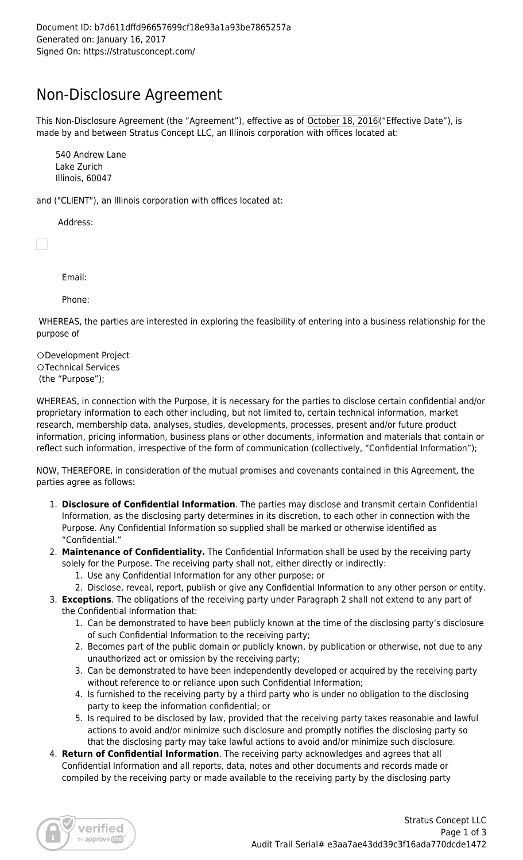## Non-Disclosure Agreement

This Non-Disclosure Agreement (the "Agreement"), effective as of October 18, 2016("Effective Date"), is made by and between Stratus Concept LLC, an Illinois corporation with offices located at:

540 Andrew Lane Lake Zurich Illinois, 60047

and ("CLIENT"), an Illinois corporation with offices located at:

Address:

Email:

Phone:

 WHEREAS, the parties are interested in exploring the feasibility of entering into a business relationship for the purpose of

Development Project OTechnical Services (the "Purpose");

WHEREAS, in connection with the Purpose, it is necessary for the parties to disclose certain confidential and/or proprietary information to each other including, but not limited to, certain technical information, market research, membership data, analyses, studies, developments, processes, present and/or future product information, pricing information, business plans or other documents, information and materials that contain or reflect such information, irrespective of the form of communication (collectively, "Confidential Information");

NOW, THEREFORE, in consideration of the mutual promises and covenants contained in this Agreement, the parties agree as follows:

- 1. **Disclosure of Confidential Information**. The parties may disclose and transmit certain Confidential Information, as the disclosing party determines in its discretion, to each other in connection with the Purpose. Any Confidential Information so supplied shall be marked or otherwise identified as "Confidential."
- 2. **Maintenance of Confidentiality.** The Confidential Information shall be used by the receiving party solely for the Purpose. The receiving party shall not, either directly or indirectly:
	- 1. Use any Confidential Information for any other purpose; or
	- 2. Disclose, reveal, report, publish or give any Confidential Information to any other person or entity.
- 3. **Exceptions**. The obligations of the receiving party under Paragraph 2 shall not extend to any part of the Confidential Information that:
	- 1. Can be demonstrated to have been publicly known at the time of the disclosing party's disclosure of such Confidential Information to the receiving party;
	- 2. Becomes part of the public domain or publicly known, by publication or otherwise, not due to any unauthorized act or omission by the receiving party;
	- 3. Can be demonstrated to have been independently developed or acquired by the receiving party without reference to or reliance upon such Confidential Information;
	- 4. Is furnished to the receiving party by a third party who is under no obligation to the disclosing party to keep the information confidential; or
	- 5. Is required to be disclosed by law, provided that the receiving party takes reasonable and lawful actions to avoid and/or minimize such disclosure and promptly notifies the disclosing party so that the disclosing party may take lawful actions to avoid and/or minimize such disclosure.
- 4. **Return of Confidential Information**. The receiving party acknowledges and agrees that all Confidential Information and all reports, data, notes and other documents and records made or compiled by the receiving party or made available to the receiving party by the disclosing party

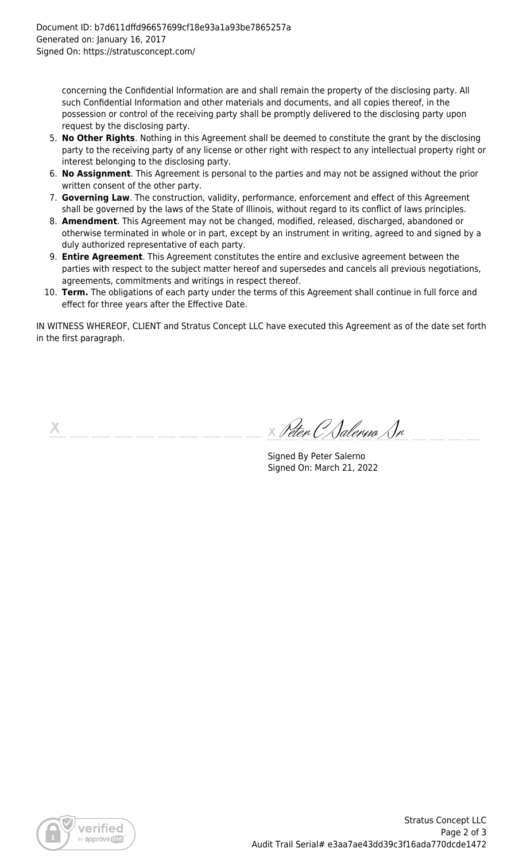concerning the Confidential Information are and shall remain the property of the disclosing party. All such Confidential Information and other materials and documents, and all copies thereof, in the possession or control of the receiving party shall be promptly delivered to the disclosing party upon request by the disclosing party.

- 5. **No Other Rights**. Nothing in this Agreement shall be deemed to constitute the grant by the disclosing party to the receiving party of any license or other right with respect to any intellectual property right or interest belonging to the disclosing party.
- 6. **No Assignment**. This Agreement is personal to the parties and may not be assigned without the prior written consent of the other party.
- 7. **Governing Law**. The construction, validity, performance, enforcement and effect of this Agreement shall be governed by the laws of the State of Illinois, without regard to its conflict of laws principles.
- 8. **Amendment**. This Agreement may not be changed, modified, released, discharged, abandoned or otherwise terminated in whole or in part, except by an instrument in writing, agreed to and signed by a duly authorized representative of each party.
- 9. **Entire Agreement**. This Agreement constitutes the entire and exclusive agreement between the parties with respect to the subject matter hereof and supersedes and cancels all previous negotiations, agreements, commitments and writings in respect thereof.
- 10. **Term.** The obligations of each party under the terms of this Agreement shall continue in full force and effect for three years after the Effective Date.

IN WITNESS WHEREOF, CLIENT and Stratus Concept LLC have executed this Agreement as of the date set forth in the first paragraph.

Х

Peter C Salerno Sr

Signed By Peter Salerno Signed On: March 21, 2022